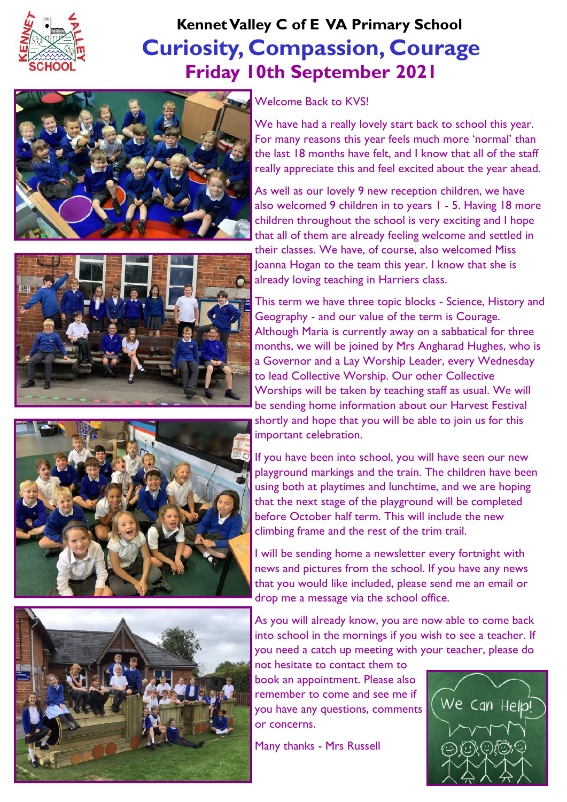

## **Curiosity, Compassion, Courage Friday 10th September 2021 Kennet Valley C of E VA Primary School**









#### Welcome Back to KVS!

We have had a really lovely start back to school this year. For many reasons this year feels much more 'normal' than the last 18 months have felt, and I know that all of the staff really appreciate this and feel excited about the year ahead.

As well as our lovely 9 new reception children, we have also welcomed 9 children in to years 1 - 5. Having 18 more children throughout the school is very exciting and I hope that all of them are already feeling welcome and settled in

their classes. We have, of course, also welcomed Miss Joanna Hogan to the team this year. I know that she is already loving teaching in Harriers class.

This term we have three topic blocks - Science, History and Geography - and our value of the term is Courage. Although Maria is currently away on a sabbatical for three months, we will be joined by Mrs Angharad Hughes, who is a Governor and a Lay Worship Leader, every Wednesday to lead Collective Worship. Our other Collective Worships will be taken by teaching staff as usual. We will be sending home information about our Harvest Festival shortly and hope that you will be able to join us for this important celebration.

If you have been into school, you will have seen our new playground markings and the train. The children have been using both at playtimes and lunchtime, and we are hoping that the next stage of the playground will be completed before October half term. This will include the new climbing frame and the rest of the trim trail.

I will be sending home a newsletter every fortnight with news and pictures from the school. If you have any news that you would like included, please send me an email or drop me a message via the school office.

As you will already know, you are now able to come back into school in the mornings if you wish to see a teacher. If you need a catch up meeting with your teacher, please do not hesitate to contact them to

book an appointment. Please also remember to come and see me if you have any questions, comments or concerns.

Many thanks - Mrs Russell

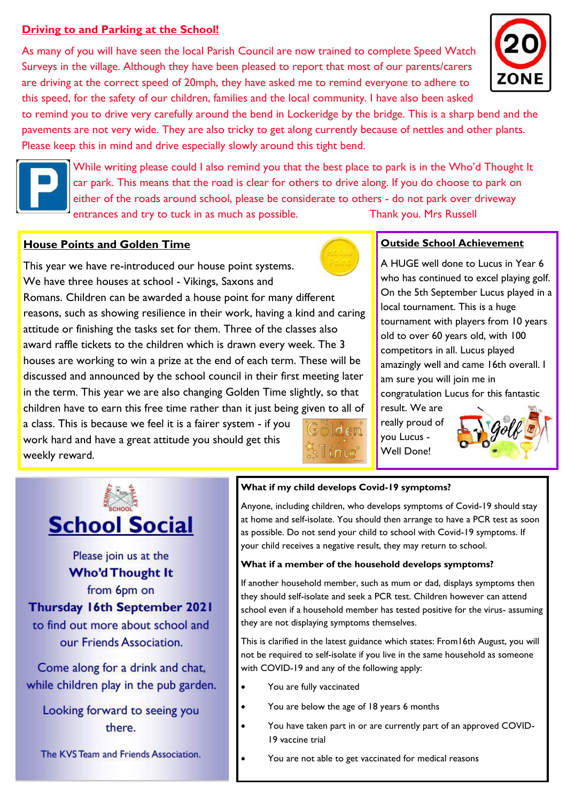#### **Driving to and Parking at the School!**

As many of you will have seen the local Parish Council are now trained to complete Speed Watch Surveys in the village. Although they have been pleased to report that most of our parents/carers are driving at the correct speed of 20mph, they have asked me to remind everyone to adhere to this speed, for the safety of our children, families and the local community. I have also been asked

to remind you to drive very carefully around the bend in Lockeridge by the bridge. This is a sharp bend and the pavements are not very wide. They are also tricky to get along currently because of nettles and other plants. Please keep this in mind and drive especially slowly around this tight bend.



While writing please could I also remind you that the best place to park is in the Who'd Thought It car park. This means that the road is clear for others to drive along. If you do choose to park on either of the roads around school, please be considerate to others - do not park over driveway entrances and try to tuck in as much as possible. Thank you. Mrs Russell

#### **House Points and Golden Time**

This year we have re-introduced our house point systems. We have three houses at school - Vikings, Saxons and Romans. Children can be awarded a house point for many different reasons, such as showing resilience in their work, having a kind and caring attitude or finishing the tasks set for them. Three of the classes also award raffle tickets to the children which is drawn every week. The 3 houses are working to win a prize at the end of each term. These will be discussed and announced by the school council in their first meeting later in the term. This year we are also changing Golden Time slightly, so that children have to earn this free time rather than it just being given to all of

a class. This is because we feel it is a fairer system - if you work hard and have a great attitude you should get this weekly reward.



#### **Outside School Achievement**

A HUGE well done to Lucus in Year 6 who has continued to excel playing golf. On the 5th September Lucus played in a local tournament. This is a huge tournament with players from 10 years old to over 60 years old, with 100 competitors in all. Lucus played amazingly well and came 16th overall. I am sure you will join me in congratulation Lucus for this fantastic

result. We are really proud of you Lucus - Well Done!





Please join us at the **Who'd Thought It** from 6pm on Thursday 16th September 2021 to find out more about school and our Friends Association.

Come along for a drink and chat, while children play in the pub garden.

Looking forward to seeing you there

The KVS Team and Friends Association.

#### **What if my child develops Covid-19 symptoms?**

Anyone, including children, who develops symptoms of Covid-19 should stay at home and self-isolate. You should then arrange to have a PCR test as soon as possible. Do not send your child to school with Covid-19 symptoms. If your child receives a negative result, they may return to school.

#### **What if a member of the household develops symptoms?**

If another household member, such as mum or dad, displays symptoms then they should self-isolate and seek a PCR test. Children however can attend school even if a household member has tested positive for the virus- assuming they are not displaying symptoms themselves.

This is clarified in the latest guidance which states: From16th August, you will not be required to self-isolate if you live in the same household as someone with COVID-19 and any of the following apply:

- You are fully vaccinated
	- You are below the age of 18 years 6 months
- You have taken part in or are currently part of an approved COVID-19 vaccine trial
- You are not able to get vaccinated for medical reasons



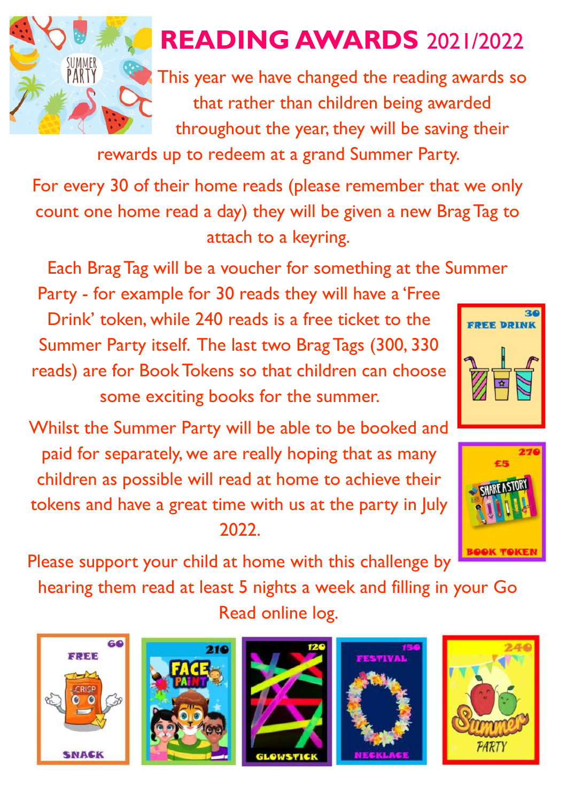

## **READING AWARDS** 2021/2022

This year we have changed the reading awards so that rather than children being awarded throughout the year, they will be saving their

rewards up to redeem at a grand Summer Party.

For every 30 of their home reads (please remember that we only count one home read a day) they will be given a new Brag Tag to attach to a keyring.

Each Brag Tag will be a voucher for something at the Summer

Party - for example for 30 reads they will have a 'Free Drink' token, while 240 reads is a free ticket to the Summer Party itself. The last two Brag Tags (300, 330 reads) are for Book Tokens so that children can choose some exciting books for the summer.

Whilst the Summer Party will be able to be booked and paid for separately, we are really hoping that as many children as possible will read at home to achieve their tokens and have a great time with us at the party in July 2022.



**FREE DRIN** 

Please support your child at home with this challenge by

hearing them read at least 5 nights a week and filling in your Go Read online log.